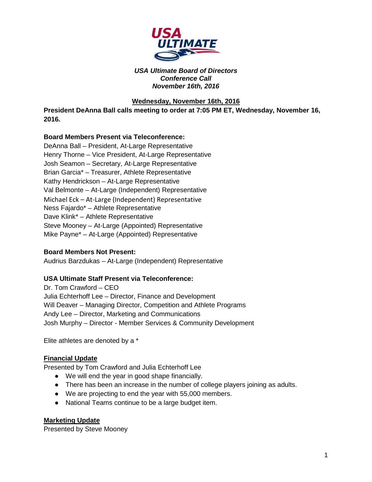

### *USA Ultimate Board of Directors Conference Call November 16th, 2016*

## **Wednesday, November 16th, 2016**

**President DeAnna Ball calls meeting to order at 7:05 PM ET, Wednesday, November 16, 2016.** 

## **Board Members Present via Teleconference:**

DeAnna Ball – President, At-Large Representative Henry Thorne – Vice President, At-Large Representative Josh Seamon – Secretary, At-Large Representative Brian Garcia\* – Treasurer, Athlete Representative Kathy Hendrickson – At-Large Representative Val Belmonte – At-Large (Independent) Representative Michael Eck – At-Large (Independent) Representative Ness Fajardo\* – Athlete Representative Dave Klink\* – Athlete Representative Steve Mooney – At-Large (Appointed) Representative Mike Payne\* – At-Large (Appointed) Representative

## **Board Members Not Present:**

Audrius Barzdukas – At-Large (Independent) Representative

#### **USA Ultimate Staff Present via Teleconference:**

Dr. Tom Crawford – CEO Julia Echterhoff Lee – Director, Finance and Development Will Deaver – Managing Director, Competition and Athlete Programs Andy Lee – Director, Marketing and Communications Josh Murphy – Director - Member Services & Community Development

Elite athletes are denoted by a \*

#### **Financial Update**

Presented by Tom Crawford and Julia Echterhoff Lee

- We will end the year in good shape financially.
- There has been an increase in the number of college players joining as adults.
- We are projecting to end the year with 55,000 members.
- National Teams continue to be a large budget item.

#### **Marketing Update**

Presented by Steve Mooney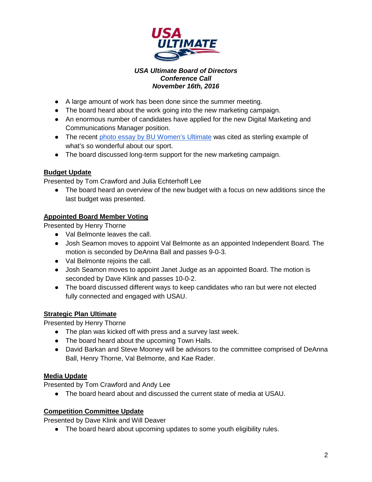

## *USA Ultimate Board of Directors Conference Call November 16th, 2016*

- A large amount of work has been done since the summer meeting.
- The board heard about the work going into the new marketing campaign.
- An enormous number of candidates have applied for the new Digital Marketing and Communications Manager position.
- The recent [photo essay by BU Women's Ultimate](http://bit.ly/2fWUVWV) was cited as sterling example of what's so wonderful about our sport.
- The board discussed long-term support for the new marketing campaign.

# **Budget Update**

Presented by Tom Crawford and Julia Echterhoff Lee

• The board heard an overview of the new budget with a focus on new additions since the last budget was presented.

# **Appointed Board Member Voting**

Presented by Henry Thorne

- Val Belmonte leaves the call.
- Josh Seamon moves to appoint Val Belmonte as an appointed Independent Board. The motion is seconded by DeAnna Ball and passes 9-0-3.
- Val Belmonte rejoins the call.
- Josh Seamon moves to appoint Janet Judge as an appointed Board. The motion is seconded by Dave Klink and passes 10-0-2.
- The board discussed different ways to keep candidates who ran but were not elected fully connected and engaged with USAU.

# **Strategic Plan Ultimate**

Presented by Henry Thorne

- The plan was kicked off with press and a survey last week.
- The board heard about the upcoming Town Halls.
- David Barkan and Steve Mooney will be advisors to the committee comprised of DeAnna Ball, Henry Thorne, Val Belmonte, and Kae Rader.

# **Media Update**

Presented by Tom Crawford and Andy Lee

● The board heard about and discussed the current state of media at USAU.

# **Competition Committee Update**

Presented by Dave Klink and Will Deaver

● The board heard about upcoming updates to some youth eligibility rules.